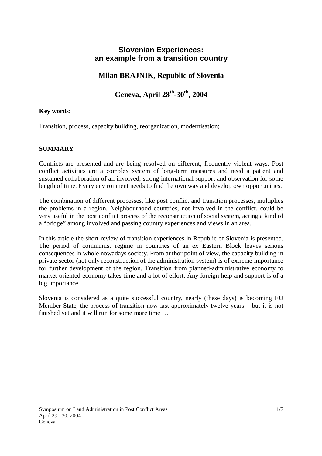## **Slovenian Experiences: an example from a transition country**

## **Milan BRAJNIK, Republic of Slovenia**

# **Geneva, April 28th-30th, 2004**

### **Key words**:

Transition, process, capacity building, reorganization, modernisation;

#### **SUMMARY**

Conflicts are presented and are being resolved on different, frequently violent ways. Post conflict activities are a complex system of long-term measures and need a patient and sustained collaboration of all involved, strong international support and observation for some length of time. Every environment needs to find the own way and develop own opportunities.

The combination of different processes, like post conflict and transition processes, multiplies the problems in a region. Neighbourhood countries, not involved in the conflict, could be very useful in the post conflict process of the reconstruction of social system, acting a kind of a "bridge" among involved and passing country experiences and views in an area.

In this article the short review of transition experiences in Republic of Slovenia is presented. The period of communist regime in countries of an ex Eastern Block leaves serious consequences in whole nowadays society. From author point of view, the capacity building in private sector (not only reconstruction of the administration system) is of extreme importance for further development of the region. Transition from planned-administrative economy to market-oriented economy takes time and a lot of effort. Any foreign help and support is of a big importance.

Slovenia is considered as a quite successful country, nearly (these days) is becoming EU Member State, the process of transition now last approximately twelve years – but it is not finished yet and it will run for some more time …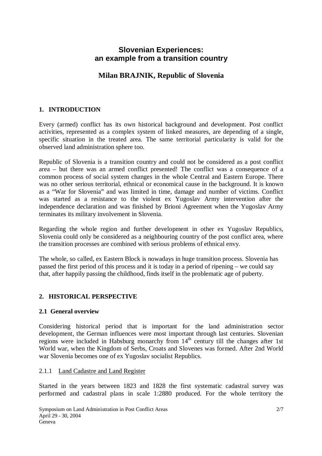## **Slovenian Experiences: an example from a transition country**

## **Milan BRAJNIK, Republic of Slovenia**

### **1. INTRODUCTION**

Every (armed) conflict has its own historical background and development. Post conflict activities, represented as a complex system of linked measures, are depending of a single, specific situation in the treated area. The same territorial particularity is valid for the observed land administration sphere too.

Republic of Slovenia is a transition country and could not be considered as a post conflict area – but there was an armed conflict presented! The conflict was a consequence of a common process of social system changes in the whole Central and Eastern Europe. There was no other serious territorial, ethnical or economical cause in the background. It is known as a "War for Slovenia" and was limited in time, damage and number of victims. Conflict was started as a resistance to the violent ex Yugoslav Army intervention after the independence declaration and was finished by Brioni Agreement when the Yugoslav Army terminates its military involvement in Slovenia.

Regarding the whole region and further development in other ex Yugoslav Republics, Slovenia could only be considered as a neighbouring country of the post conflict area, where the transition processes are combined with serious problems of ethnical envy.

The whole, so called, ex Eastern Block is nowadays in huge transition process. Slovenia has passed the first period of this process and it is today in a period of ripening – we could say that, after happily passing the childhood, finds itself in the problematic age of puberty.

#### **2. HISTORICAL PERSPECTIVE**

#### **2.1 General overview**

Considering historical period that is important for the land administration sector development, the German influences were most important through last centuries. Slovenian regions were included in Habsburg monarchy from  $14<sup>th</sup>$  century till the changes after 1st World war, when the Kingdom of Serbs, Croats and Slovenes was formed. After 2nd World war Slovenia becomes one of ex Yugoslav socialist Republics.

#### 2.1.1 Land Cadastre and Land Register

Started in the years between 1823 and 1828 the first systematic cadastral survey was performed and cadastral plans in scale 1:2880 produced. For the whole territory the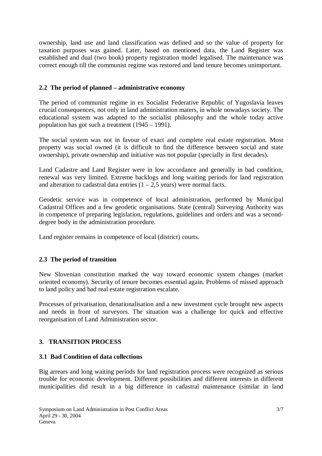ownership, land use and land classification was defined and so the value of property for taxation purposes was gained. Later, based on mentioned data, the Land Register was established and dual (two book) property registration model legalised. The maintenance was correct enough till the communist regime was restored and land tenure becomes unimportant.

#### **2.2 The period of planned – administrative economy**

The period of communist regime in ex Socialist Federative Republic of Yugoslavia leaves crucial consequences, not only in land administration maters, in whole nowadays society. The educational system was adapted to the socialist philosophy and the whole today active population has got such a treatment (1945 – 1991).

The social system was not in favour of exact and complete real estate registration. Most property was social owned (it is difficult to find the difference between social and state ownership), private ownership and initiative was not popular (specially in first decades).

Land Cadastre and Land Register were in low accordance and generally in bad condition, renewal was very limited. Extreme backlogs and long waiting periods for land registration and alteration to cadastral data entries  $(1 – 2.5$  years) were normal facts.

Geodetic service was in competence of local administration, performed by Municipal Cadastral Offices and a few geodetic organisations. State (central) Surveying Authority was in competence of preparing legislation, regulations, guidelines and orders and was a seconddegree body in the administration procedure.

Land register remains in competence of local (district) courts.

#### **2.3 The period of transition**

New Slovenian constitution marked the way toward economic system changes (market oriented economy). Security of tenure becomes essential again. Problems of missed approach to land policy and bad real estate registration escalate.

Processes of privatisation, denationalisation and a new investment cycle brought new aspects and needs in front of surveyors. The situation was a challenge for quick and effective reorganisation of Land Administration sector.

#### **3. TRANSITION PROCESS**

#### **3.1 Bad Condition of data collections**

Big arrears and long waiting periods for land registration process were recognized as serious trouble for economic development. Different possibilities and different interests in different municipalities did result in a big difference in cadastral maintenance (similar in land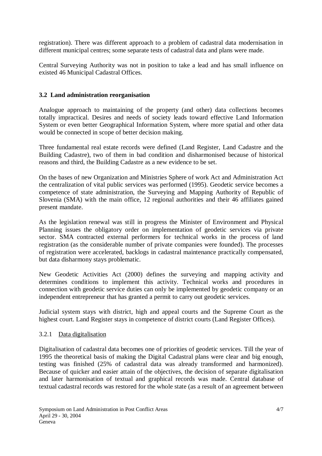registration). There was different approach to a problem of cadastral data modernisation in different municipal centres; some separate tests of cadastral data and plans were made.

Central Surveying Authority was not in position to take a lead and has small influence on existed 46 Municipal Cadastral Offices.

### **3.2 Land administration reorganisation**

Analogue approach to maintaining of the property (and other) data collections becomes totally impractical. Desires and needs of society leads toward effective Land Information System or even better Geographical Information System, where more spatial and other data would be connected in scope of better decision making.

Three fundamental real estate records were defined (Land Register, Land Cadastre and the Building Cadastre), two of them in bad condition and disharmonised because of historical reasons and third, the Building Cadastre as a new evidence to be set.

On the bases of new Organization and Ministries Sphere of work Act and Administration Act the centralization of vital public services was performed (1995). Geodetic service becomes a competence of state administration, the Surveying and Mapping Authority of Republic of Slovenia (SMA) with the main office, 12 regional authorities and their 46 affiliates gained present mandate.

As the legislation renewal was still in progress the Minister of Environment and Physical Planning issues the obligatory order on implementation of geodetic services via private sector. SMA contracted external performers for technical works in the process of land registration (as the considerable number of private companies were founded). The processes of registration were accelerated, backlogs in cadastral maintenance practically compensated, but data disharmony stays problematic.

New Geodetic Activities Act (2000) defines the surveying and mapping activity and determines conditions to implement this activity. Technical works and procedures in connection with geodetic service duties can only be implemented by geodetic company or an independent entrepreneur that has granted a permit to carry out geodetic services.

Judicial system stays with district, high and appeal courts and the Supreme Court as the highest court. Land Register stays in competence of district courts (Land Register Offices).

#### 3.2.1 Data digitalisation

Digitalisation of cadastral data becomes one of priorities of geodetic services. Till the year of 1995 the theoretical basis of making the Digital Cadastral plans were clear and big enough, testing was finished (25% of cadastral data was already transformed and harmonized). Because of quicker and easier attain of the objectives, the decision of separate digitalisation and later harmonisation of textual and graphical records was made. Central database of textual cadastral records was restored for the whole state (as a result of an agreement between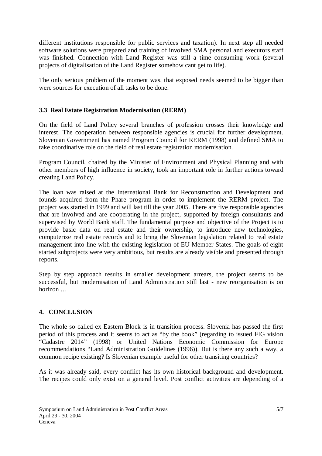different institutions responsible for public services and taxation). In next step all needed software solutions were prepared and training of involved SMA personal and executors staff was finished. Connection with Land Register was still a time consuming work (several projects of digitalisation of the Land Register somehow cant get to life).

The only serious problem of the moment was, that exposed needs seemed to be bigger than were sources for execution of all tasks to be done.

### **3.3 Real Estate Registration Modernisation (RERM)**

On the field of Land Policy several branches of profession crosses their knowledge and interest. The cooperation between responsible agencies is crucial for further development. Slovenian Government has named Program Council for RERM (1998) and defined SMA to take coordinative role on the field of real estate registration modernisation.

Program Council, chaired by the Minister of Environment and Physical Planning and with other members of high influence in society, took an important role in further actions toward creating Land Policy.

The loan was raised at the International Bank for Reconstruction and Development and founds acquired from the Phare program in order to implement the RERM project. The project was started in 1999 and will last till the year 2005. There are five responsible agencies that are involved and are cooperating in the project, supported by foreign consultants and supervised by World Bank staff. The fundamental purpose and objective of the Project is to provide basic data on real estate and their ownership, to introduce new technologies, computerize real estate records and to bring the Slovenian legislation related to real estate management into line with the existing legislation of EU Member States. The goals of eight started subprojects were very ambitious, but results are already visible and presented through reports.

Step by step approach results in smaller development arrears, the project seems to be successful, but modernisation of Land Administration still last - new reorganisation is on horizon …

#### **4. CONCLUSION**

The whole so called ex Eastern Block is in transition process. Slovenia has passed the first period of this process and it seems to act as "by the book" (regarding to issued FIG vision "Cadastre 2014" (1998) or United Nations Economic Commission for Europe recommendations "Land Administration Guidelines (1996)). But is there any such a way, a common recipe existing? Is Slovenian example useful for other transiting countries?

As it was already said, every conflict has its own historical background and development. The recipes could only exist on a general level. Post conflict activities are depending of a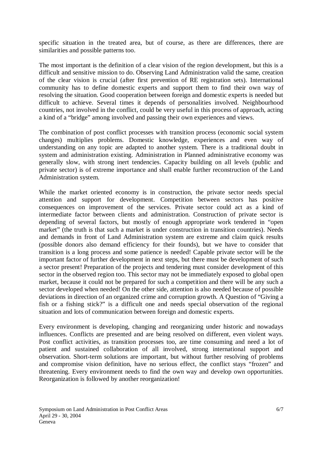specific situation in the treated area, but of course, as there are differences, there are similarities and possible patterns too.

The most important is the definition of a clear vision of the region development, but this is a difficult and sensitive mission to do. Observing Land Administration valid the same, creation of the clear vision is crucial (after first prevention of RE registration sets). International community has to define domestic experts and support them to find their own way of resolving the situation. Good cooperation between foreign and domestic experts is needed but difficult to achieve. Several times it depends of personalities involved. Neighbourhood countries, not involved in the conflict, could be very useful in this process of approach, acting a kind of a "bridge" among involved and passing their own experiences and views.

The combination of post conflict processes with transition process (economic social system changes) multiplies problems. Domestic knowledge, experiences and even way of understanding on any topic are adapted to another system. There is a traditional doubt in system and administration existing. Administration in Planned administrative economy was generally slow, with strong inert tendencies. Capacity building on all levels (public and private sector) is of extreme importance and shall enable further reconstruction of the Land Administration system.

While the market oriented economy is in construction, the private sector needs special attention and support for development. Competition between sectors has positive consequences on improvement of the services. Private sector could act as a kind of intermediate factor between clients and administration. Construction of private sector is depending of several factors, but mostly of enough appropriate work tendered in "open market" (the truth is that such a market is under construction in transition countries). Needs and demands in front of Land Administration system are extreme and claim quick results (possible donors also demand efficiency for their founds), but we have to consider that transition is a long process and some patience is needed! Capable private sector will be the important factor of further development in next steps, but there must be development of such a sector present! Preparation of the projects and tendering must consider development of this sector in the observed region too. This sector may not be immediately exposed to global open market, because it could not be prepared for such a competition and there will be any such a sector developed when needed! On the other side, attention is also needed because of possible deviations in direction of an organized crime and corruption growth. A Question of "Giving a fish or a fishing stick?" is a difficult one and needs special observation of the regional situation and lots of communication between foreign and domestic experts.

Every environment is developing, changing and reorganizing under historic and nowadays influences. Conflicts are presented and are being resolved on different, even violent ways. Post conflict activities, as transition processes too, are time consuming and need a lot of patient and sustained collaboration of all involved, strong international support and observation. Short-term solutions are important, but without further resolving of problems and compromise vision definition, have no serious effect, the conflict stays "frozen" and threatening. Every environment needs to find the own way and develop own opportunities. Reorganization is followed by another reorganization!